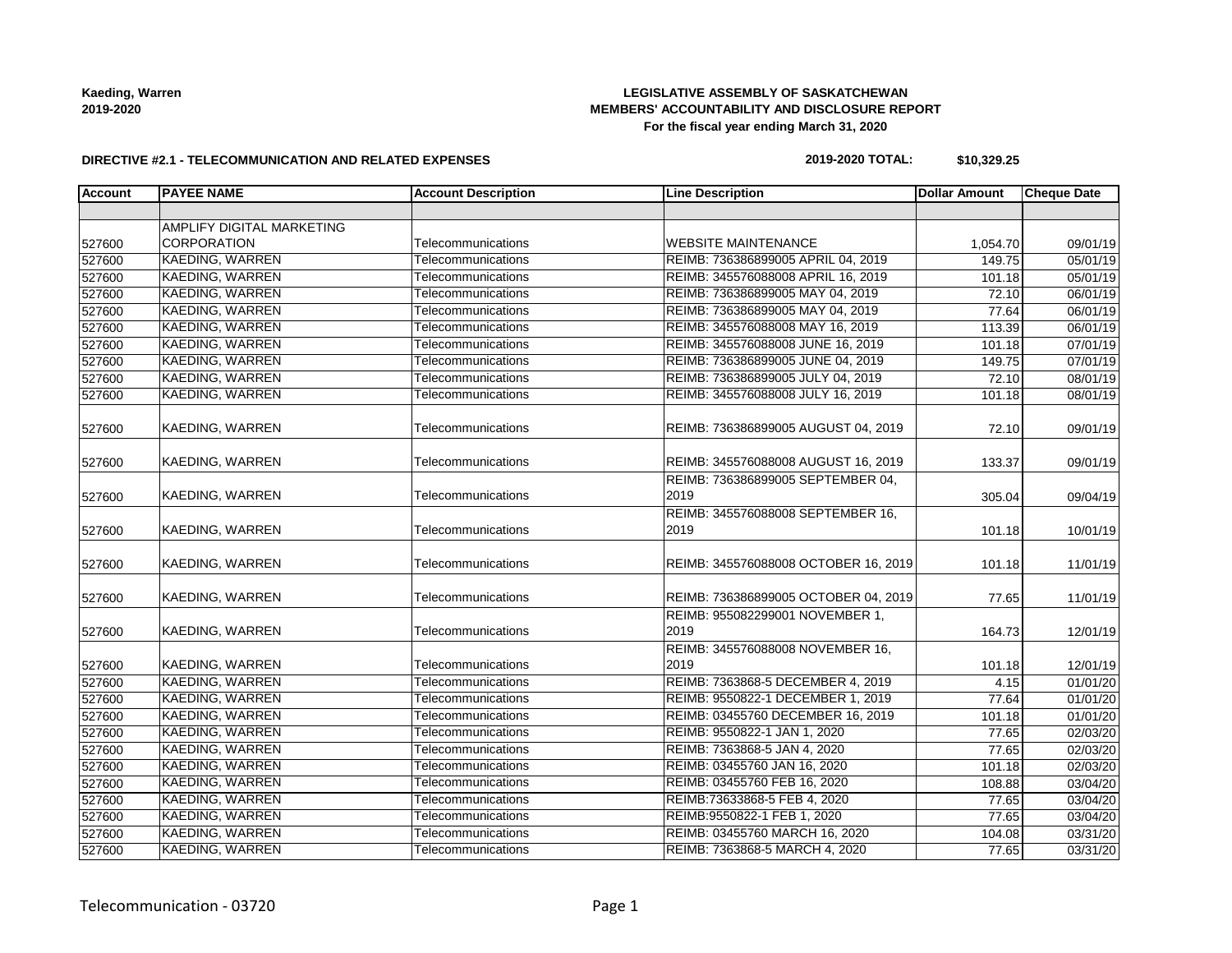# **LEGISLATIVE ASSEMBLY OF SASKATCHEWAN MEMBERS' ACCOUNTABILITY AND DISCLOSURE REPORT For the fiscal year ending March 31, 2020**

### **DIRECTIVE #2.1 - TELECOMMUNICATION AND RELATED EXPENSES**

### **2019-2020 TOTAL: \$10,329.25**

| <b>Account</b> | <b>PAYEE NAME</b>         | <b>Account Description</b> | <b>Line Description</b>                  | <b>Dollar Amount</b> | <b>Cheque Date</b> |
|----------------|---------------------------|----------------------------|------------------------------------------|----------------------|--------------------|
|                |                           |                            |                                          |                      |                    |
|                | AMPLIFY DIGITAL MARKETING |                            |                                          |                      |                    |
| 527600         | <b>CORPORATION</b>        | Telecommunications         | <b>WEBSITE MAINTENANCE</b>               | 1,054.70             | 09/01/19           |
| 527600         | <b>KAEDING, WARREN</b>    | Telecommunications         | REIMB: 736386899005 APRIL 04, 2019       | 149.75               | 05/01/19           |
| 527600         | <b>KAEDING, WARREN</b>    | Telecommunications         | REIMB: 345576088008 APRIL 16, 2019       | 101.18               | 05/01/19           |
| 527600         | KAEDING, WARREN           | Telecommunications         | REIMB: 736386899005 MAY 04, 2019         | 72.10                | 06/01/19           |
| 527600         | <b>KAEDING, WARREN</b>    | Telecommunications         | REIMB: 736386899005 MAY 04, 2019         | 77.64                | 06/01/19           |
| 527600         | KAEDING, WARREN           | Telecommunications         | REIMB: 345576088008 MAY 16, 2019         | 113.39               | 06/01/19           |
| 527600         | <b>KAEDING, WARREN</b>    | Telecommunications         | REIMB: 345576088008 JUNE 16, 2019        | 101.18               | 07/01/19           |
| 527600         | KAEDING, WARREN           | Telecommunications         | REIMB: 736386899005 JUNE 04, 2019        | 149.75               | 07/01/19           |
| 527600         | <b>KAEDING, WARREN</b>    | Telecommunications         | REIMB: 736386899005 JULY 04, 2019        | 72.10                | 08/01/19           |
| 527600         | KAEDING, WARREN           | Telecommunications         | REIMB: 345576088008 JULY 16, 2019        | 101.18               | 08/01/19           |
| 527600         | KAEDING, WARREN           | Telecommunications         | REIMB: 736386899005 AUGUST 04, 2019      | 72.10                | 09/01/19           |
| 527600         | KAEDING, WARREN           | Telecommunications         | REIMB: 345576088008 AUGUST 16, 2019      | 133.37               | 09/01/19           |
|                |                           |                            | REIMB: 736386899005 SEPTEMBER 04,        |                      |                    |
| 527600         | KAEDING, WARREN           | Telecommunications         | 2019                                     | 305.04               | 09/04/19           |
|                |                           |                            | REIMB: 345576088008 SEPTEMBER 16,        |                      |                    |
| 527600         | KAEDING, WARREN           | Telecommunications         | 2019                                     | 101.18               | 10/01/19           |
| 527600         | KAEDING, WARREN           | Telecommunications         | REIMB: 345576088008 OCTOBER 16, 2019     | 101.18               | 11/01/19           |
| 527600         | KAEDING, WARREN           | Telecommunications         | REIMB: 736386899005 OCTOBER 04, 2019     | 77.65                | 11/01/19           |
| 527600         | KAEDING, WARREN           | Telecommunications         | REIMB: 955082299001 NOVEMBER 1,<br>2019  | 164.73               | 12/01/19           |
| 527600         | KAEDING, WARREN           | Telecommunications         | REIMB: 345576088008 NOVEMBER 16,<br>2019 | 101.18               | 12/01/19           |
| 527600         | <b>KAEDING, WARREN</b>    | Telecommunications         | REIMB: 7363868-5 DECEMBER 4, 2019        | 4.15                 | 01/01/20           |
| 527600         | <b>KAEDING, WARREN</b>    | Telecommunications         | REIMB: 9550822-1 DECEMBER 1, 2019        | 77.64                | 01/01/20           |
| 527600         | <b>KAEDING, WARREN</b>    | Telecommunications         | REIMB: 03455760 DECEMBER 16, 2019        | 101.18               | 01/01/20           |
| 527600         | KAEDING, WARREN           | Telecommunications         | REIMB: 9550822-1 JAN 1, 2020             | 77.65                | 02/03/20           |
| 527600         | KAEDING, WARREN           | Telecommunications         | REIMB: 7363868-5 JAN 4, 2020             | 77.65                | 02/03/20           |
| 527600         | <b>KAEDING, WARREN</b>    | Telecommunications         | REIMB: 03455760 JAN 16, 2020             | 101.18               | 02/03/20           |
| 527600         | <b>KAEDING, WARREN</b>    | Telecommunications         | REIMB: 03455760 FEB 16, 2020             | 108.88               | 03/04/20           |
| 527600         | <b>KAEDING, WARREN</b>    | Telecommunications         | REIMB:73633868-5 FEB 4, 2020             | 77.65                | 03/04/20           |
| 527600         | KAEDING, WARREN           | Telecommunications         | REIMB:9550822-1 FEB 1, 2020              | 77.65                | 03/04/20           |
| 527600         | <b>KAEDING, WARREN</b>    | Telecommunications         | REIMB: 03455760 MARCH 16, 2020           | 104.08               | 03/31/20           |
| 527600         | KAEDING, WARREN           | Telecommunications         | REIMB: 7363868-5 MARCH 4, 2020           | 77.65                | 03/31/20           |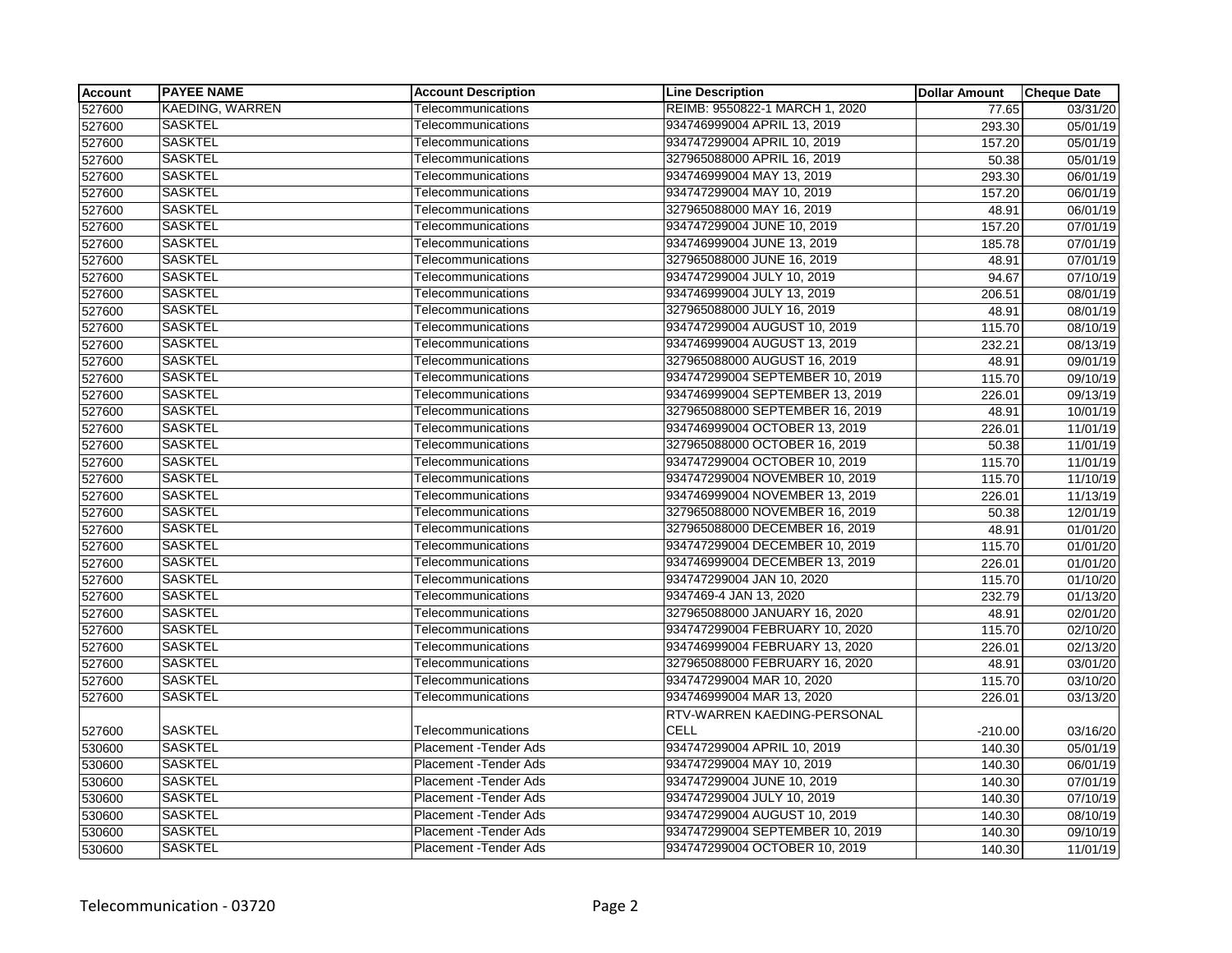| <b>Account</b> | <b>PAYEE NAME</b>      | <b>Account Description</b>    | <b>Line Description</b>         | <b>Dollar Amount</b> | <b>Cheque Date</b> |
|----------------|------------------------|-------------------------------|---------------------------------|----------------------|--------------------|
| 527600         | <b>KAEDING, WARREN</b> | Telecommunications            | REIMB: 9550822-1 MARCH 1, 2020  | 77.65                | 03/31/20           |
| 527600         | <b>SASKTEL</b>         | Telecommunications            | 934746999004 APRIL 13, 2019     | 293.30               | 05/01/19           |
| 527600         | <b>SASKTEL</b>         | Telecommunications            | 934747299004 APRIL 10, 2019     | 157.20               | 05/01/19           |
| 527600         | <b>SASKTEL</b>         | Telecommunications            | 327965088000 APRIL 16, 2019     | 50.38                | 05/01/19           |
| 527600         | <b>SASKTEL</b>         | Telecommunications            | 934746999004 MAY 13, 2019       | 293.30               | 06/01/19           |
| 527600         | <b>SASKTEL</b>         | Telecommunications            | 934747299004 MAY 10, 2019       | 157.20               | 06/01/19           |
| 527600         | <b>SASKTEL</b>         | Telecommunications            | 327965088000 MAY 16, 2019       | 48.91                | 06/01/19           |
| 527600         | <b>SASKTEL</b>         | Telecommunications            | 934747299004 JUNE 10, 2019      | 157.20               | 07/01/19           |
| 527600         | <b>SASKTEL</b>         | Telecommunications            | 934746999004 JUNE 13, 2019      | 185.78               | 07/01/19           |
| 527600         | <b>SASKTEL</b>         | Telecommunications            | 327965088000 JUNE 16, 2019      | 48.91                | 07/01/19           |
| 527600         | <b>SASKTEL</b>         | Telecommunications            | 934747299004 JULY 10, 2019      | 94.67                | 07/10/19           |
| 527600         | <b>SASKTEL</b>         | Telecommunications            | 934746999004 JULY 13, 2019      | 206.51               | 08/01/19           |
| 527600         | <b>SASKTEL</b>         | Telecommunications            | 327965088000 JULY 16, 2019      | 48.91                | 08/01/19           |
| 527600         | <b>SASKTEL</b>         | Telecommunications            | 934747299004 AUGUST 10, 2019    | 115.70               | 08/10/19           |
| 527600         | <b>SASKTEL</b>         | Telecommunications            | 934746999004 AUGUST 13, 2019    | 232.21               | 08/13/19           |
| 527600         | <b>SASKTEL</b>         | Telecommunications            | 327965088000 AUGUST 16, 2019    | 48.91                | 09/01/19           |
| 527600         | <b>SASKTEL</b>         | Telecommunications            | 934747299004 SEPTEMBER 10, 2019 | 115.70               | 09/10/19           |
| 527600         | <b>SASKTEL</b>         | Telecommunications            | 934746999004 SEPTEMBER 13, 2019 | 226.01               | 09/13/19           |
| 527600         | <b>SASKTEL</b>         | Telecommunications            | 327965088000 SEPTEMBER 16, 2019 | 48.91                | 10/01/19           |
| 527600         | <b>SASKTEL</b>         | Telecommunications            | 934746999004 OCTOBER 13, 2019   | 226.01               | 11/01/19           |
| 527600         | <b>SASKTEL</b>         | Telecommunications            | 327965088000 OCTOBER 16, 2019   | 50.38                | 11/01/19           |
| 527600         | <b>SASKTEL</b>         | Telecommunications            | 934747299004 OCTOBER 10, 2019   | 115.70               | 11/01/19           |
| 527600         | <b>SASKTEL</b>         | Telecommunications            | 934747299004 NOVEMBER 10, 2019  | 115.70               | 11/10/19           |
| 527600         | <b>SASKTEL</b>         | Telecommunications            | 934746999004 NOVEMBER 13, 2019  | 226.01               | 11/13/19           |
| 527600         | <b>SASKTEL</b>         | Telecommunications            | 327965088000 NOVEMBER 16, 2019  | 50.38                | 12/01/19           |
| 527600         | <b>SASKTEL</b>         | Telecommunications            | 327965088000 DECEMBER 16, 2019  | 48.91                | 01/01/20           |
| 527600         | <b>SASKTEL</b>         | Telecommunications            | 934747299004 DECEMBER 10, 2019  | 115.70               | 01/01/20           |
| 527600         | <b>SASKTEL</b>         | Telecommunications            | 934746999004 DECEMBER 13, 2019  | 226.01               | 01/01/20           |
| 527600         | <b>SASKTEL</b>         | Telecommunications            | 934747299004 JAN 10, 2020       | 115.70               | 01/10/20           |
| 527600         | <b>SASKTEL</b>         | Telecommunications            | 9347469-4 JAN 13, 2020          | 232.79               | 01/13/20           |
| 527600         | <b>SASKTEL</b>         | Telecommunications            | 327965088000 JANUARY 16, 2020   | 48.91                | 02/01/20           |
| 527600         | <b>SASKTEL</b>         | Telecommunications            | 934747299004 FEBRUARY 10, 2020  | 115.70               | 02/10/20           |
| 527600         | <b>SASKTEL</b>         | Telecommunications            | 934746999004 FEBRUARY 13, 2020  | 226.01               | 02/13/20           |
| 527600         | <b>SASKTEL</b>         | Telecommunications            | 327965088000 FEBRUARY 16, 2020  | 48.91                | 03/01/20           |
| 527600         | <b>SASKTEL</b>         | Telecommunications            | 934747299004 MAR 10, 2020       | 115.70               | 03/10/20           |
| 527600         | <b>SASKTEL</b>         | Telecommunications            | 934746999004 MAR 13, 2020       | 226.01               | 03/13/20           |
|                |                        |                               | RTV-WARREN KAEDING-PERSONAL     |                      |                    |
| 527600         | <b>SASKTEL</b>         | Telecommunications            | CELL                            | $-210.00$            | 03/16/20           |
| 530600         | <b>SASKTEL</b>         | Placement -Tender Ads         | 934747299004 APRIL 10, 2019     | 140.30               | 05/01/19           |
| 530600         | <b>SASKTEL</b>         | Placement - Tender Ads        | 934747299004 MAY 10, 2019       | 140.30               | 06/01/19           |
| 530600         | <b>SASKTEL</b>         | Placement - Tender Ads        | 934747299004 JUNE 10, 2019      | 140.30               | 07/01/19           |
| 530600         | <b>SASKTEL</b>         | <b>Placement - Tender Ads</b> | 934747299004 JULY 10, 2019      | 140.30               | 07/10/19           |
| 530600         | <b>SASKTEL</b>         | <b>Placement - Tender Ads</b> | 934747299004 AUGUST 10, 2019    | 140.30               | 08/10/19           |
| 530600         | <b>SASKTEL</b>         | <b>Placement - Tender Ads</b> | 934747299004 SEPTEMBER 10, 2019 | 140.30               | 09/10/19           |
| 530600         | <b>SASKTEL</b>         | <b>Placement - Tender Ads</b> | 934747299004 OCTOBER 10, 2019   | 140.30               | 11/01/19           |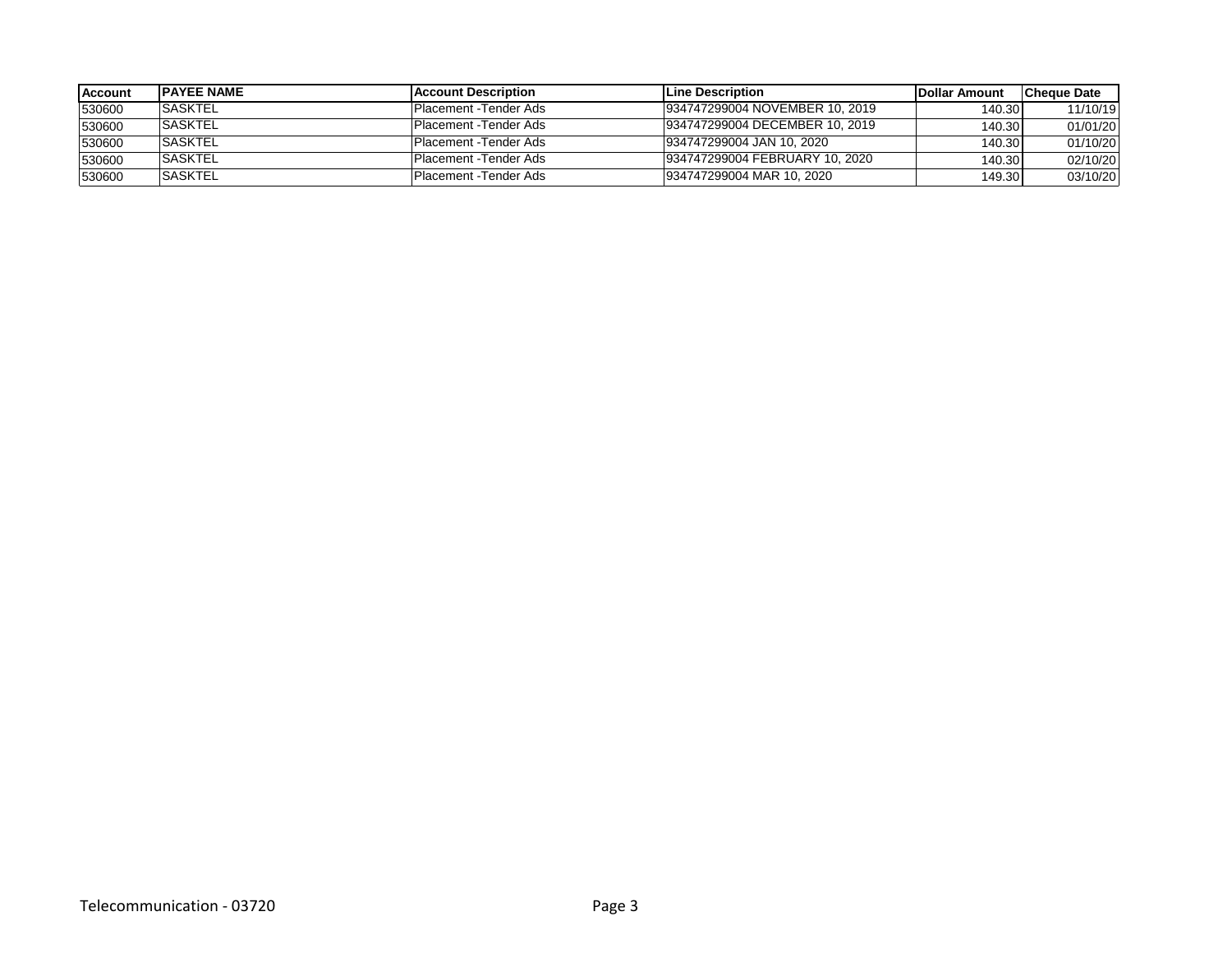| <b>Account</b> | <b>IPAYEE NAME</b> | <b>IAccount Description</b> | <b>ILine Description</b>       | <b>IDollar Amount</b> | <b>ICheque Date</b> |
|----------------|--------------------|-----------------------------|--------------------------------|-----------------------|---------------------|
| 530600         | <b>ISASKTEL</b>    | IPlacement -Tender Ads      | 934747299004 NOVEMBER 10, 2019 | 140.30                | 11/10/19            |
| 530600         | <b>ISASKTEL</b>    | IPlacement -Tender Ads      | 934747299004 DECEMBER 10, 2019 | 140.30                | 01/01/20            |
| 530600         | <b>ISASKTEL</b>    | IPlacement -Tender Ads      | 934747299004 JAN 10, 2020      | 140.30                | 01/10/20            |
| 530600         | <b>SASKTEL</b>     | IPlacement -Tender Ads      | 934747299004 FEBRUARY 10, 2020 | 140.30                | 02/10/20            |
| 530600         | <b>ISASKTEL</b>    | IPlacement -Tender Ads      | 934747299004 MAR 10, 2020      | 149.30                | 03/10/20            |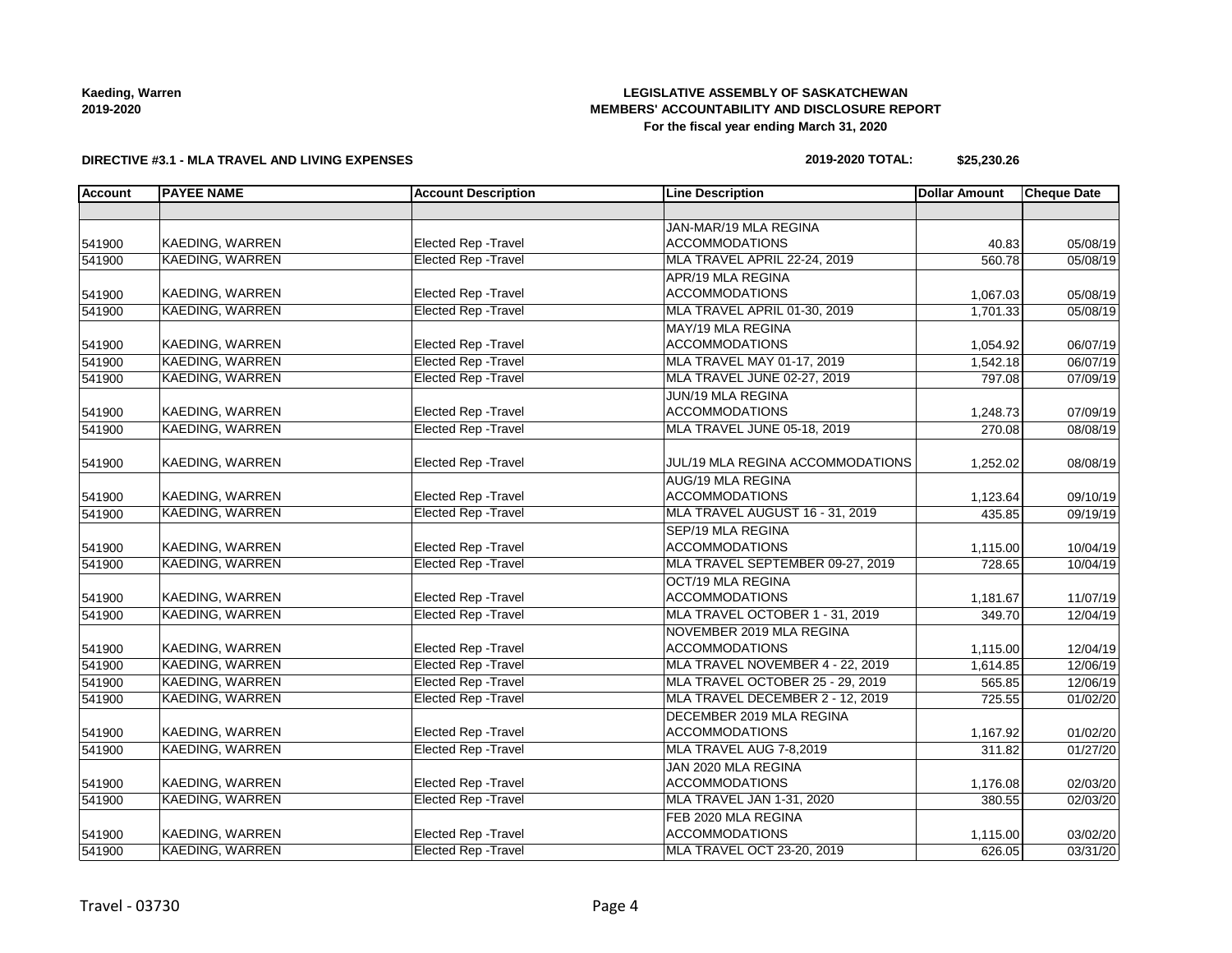# **LEGISLATIVE ASSEMBLY OF SASKATCHEWAN MEMBERS' ACCOUNTABILITY AND DISCLOSURE REPORT For the fiscal year ending March 31, 2020**

### **DIRECTIVE #3.1 - MLA TRAVEL AND LIVING EXPENSES**

### **2019-2020 TOTAL: \$25,230.26**

| <b>Account</b> | <b>PAYEE NAME</b>      | <b>Account Description</b>  | <b>Line Description</b>          | <b>Dollar Amount</b> | <b>Cheque Date</b> |
|----------------|------------------------|-----------------------------|----------------------------------|----------------------|--------------------|
|                |                        |                             |                                  |                      |                    |
|                |                        |                             | JAN-MAR/19 MLA REGINA            |                      |                    |
| 541900         | KAEDING, WARREN        | <b>Elected Rep - Travel</b> | <b>ACCOMMODATIONS</b>            | 40.83                | 05/08/19           |
| 541900         | <b>KAEDING, WARREN</b> | <b>Elected Rep - Travel</b> | MLA TRAVEL APRIL 22-24, 2019     | 560.78               | 05/08/19           |
|                |                        |                             | APR/19 MLA REGINA                |                      |                    |
| 541900         | KAEDING, WARREN        | Elected Rep - Travel        | <b>ACCOMMODATIONS</b>            | 1,067.03             | 05/08/19           |
| 541900         | <b>KAEDING, WARREN</b> | <b>Elected Rep - Travel</b> | MLA TRAVEL APRIL 01-30, 2019     | 1,701.33             | 05/08/19           |
|                |                        |                             | MAY/19 MLA REGINA                |                      |                    |
| 541900         | KAEDING, WARREN        | Elected Rep - Travel        | <b>ACCOMMODATIONS</b>            | 1,054.92             | 06/07/19           |
| 541900         | <b>KAEDING, WARREN</b> | <b>Elected Rep - Travel</b> | MLA TRAVEL MAY 01-17, 2019       | 1,542.18             | 06/07/19           |
| 541900         | <b>KAEDING, WARREN</b> | <b>Elected Rep - Travel</b> | MLA TRAVEL JUNE 02-27, 2019      | 797.08               | 07/09/19           |
|                |                        |                             | JUN/19 MLA REGINA                |                      |                    |
| 541900         | KAEDING, WARREN        | <b>Elected Rep - Travel</b> | <b>ACCOMMODATIONS</b>            | 1,248.73             | 07/09/19           |
| 541900         | <b>KAEDING, WARREN</b> | <b>Elected Rep - Travel</b> | MLA TRAVEL JUNE 05-18, 2019      | 270.08               | 08/08/19           |
|                |                        |                             |                                  |                      |                    |
| 541900         | KAEDING, WARREN        | Elected Rep - Travel        | JUL/19 MLA REGINA ACCOMMODATIONS | 1,252.02             | 08/08/19           |
|                |                        |                             | AUG/19 MLA REGINA                |                      |                    |
| 541900         | <b>KAEDING, WARREN</b> | <b>Elected Rep - Travel</b> | <b>ACCOMMODATIONS</b>            | 1,123.64             | 09/10/19           |
| 541900         | <b>KAEDING, WARREN</b> | <b>Elected Rep - Travel</b> | MLA TRAVEL AUGUST 16 - 31, 2019  | 435.85               | 09/19/19           |
|                |                        |                             | SEP/19 MLA REGINA                |                      |                    |
| 541900         | KAEDING, WARREN        | Elected Rep - Travel        | <b>ACCOMMODATIONS</b>            | 1,115.00             | 10/04/19           |
| 541900         | KAEDING, WARREN        | <b>Elected Rep - Travel</b> | MLA TRAVEL SEPTEMBER 09-27, 2019 | 728.65               | 10/04/19           |
|                |                        |                             | OCT/19 MLA REGINA                |                      |                    |
| 541900         | <b>KAEDING, WARREN</b> | Elected Rep - Travel        | <b>ACCOMMODATIONS</b>            | 1,181.67             | 11/07/19           |
| 541900         | <b>KAEDING, WARREN</b> | <b>Elected Rep - Travel</b> | MLA TRAVEL OCTOBER 1 - 31, 2019  | 349.70               | 12/04/19           |
|                |                        |                             | NOVEMBER 2019 MLA REGINA         |                      |                    |
| 541900         | <b>KAEDING, WARREN</b> | <b>Elected Rep - Travel</b> | <b>ACCOMMODATIONS</b>            | 1,115.00             | 12/04/19           |
| 541900         | <b>KAEDING, WARREN</b> | <b>Elected Rep - Travel</b> | MLA TRAVEL NOVEMBER 4 - 22, 2019 | 1,614.85             | 12/06/19           |
| 541900         | <b>KAEDING, WARREN</b> | <b>Elected Rep - Travel</b> | MLA TRAVEL OCTOBER 25 - 29, 2019 | 565.85               | 12/06/19           |
| 541900         | <b>KAEDING, WARREN</b> | <b>Elected Rep - Travel</b> | MLA TRAVEL DECEMBER 2 - 12, 2019 | 725.55               | 01/02/20           |
|                |                        |                             | DECEMBER 2019 MLA REGINA         |                      |                    |
| 541900         | KAEDING, WARREN        | Elected Rep - Travel        | <b>ACCOMMODATIONS</b>            | 1,167.92             | 01/02/20           |
| 541900         | <b>KAEDING, WARREN</b> | <b>Elected Rep - Travel</b> | MLA TRAVEL AUG 7-8,2019          | 311.82               | 01/27/20           |
|                |                        |                             | JAN 2020 MLA REGINA              |                      |                    |
| 541900         | KAEDING, WARREN        | Elected Rep - Travel        | <b>ACCOMMODATIONS</b>            | 1,176.08             | 02/03/20           |
| 541900         | <b>KAEDING, WARREN</b> | <b>Elected Rep - Travel</b> | MLA TRAVEL JAN 1-31, 2020        | 380.55               | 02/03/20           |
|                |                        |                             | FEB 2020 MLA REGINA              |                      |                    |
| 541900         | KAEDING, WARREN        | Elected Rep - Travel        | <b>ACCOMMODATIONS</b>            | 1,115.00             | 03/02/20           |
| 541900         | <b>KAEDING, WARREN</b> | <b>Elected Rep - Travel</b> | MLA TRAVEL OCT 23-20, 2019       | 626.05               | 03/31/20           |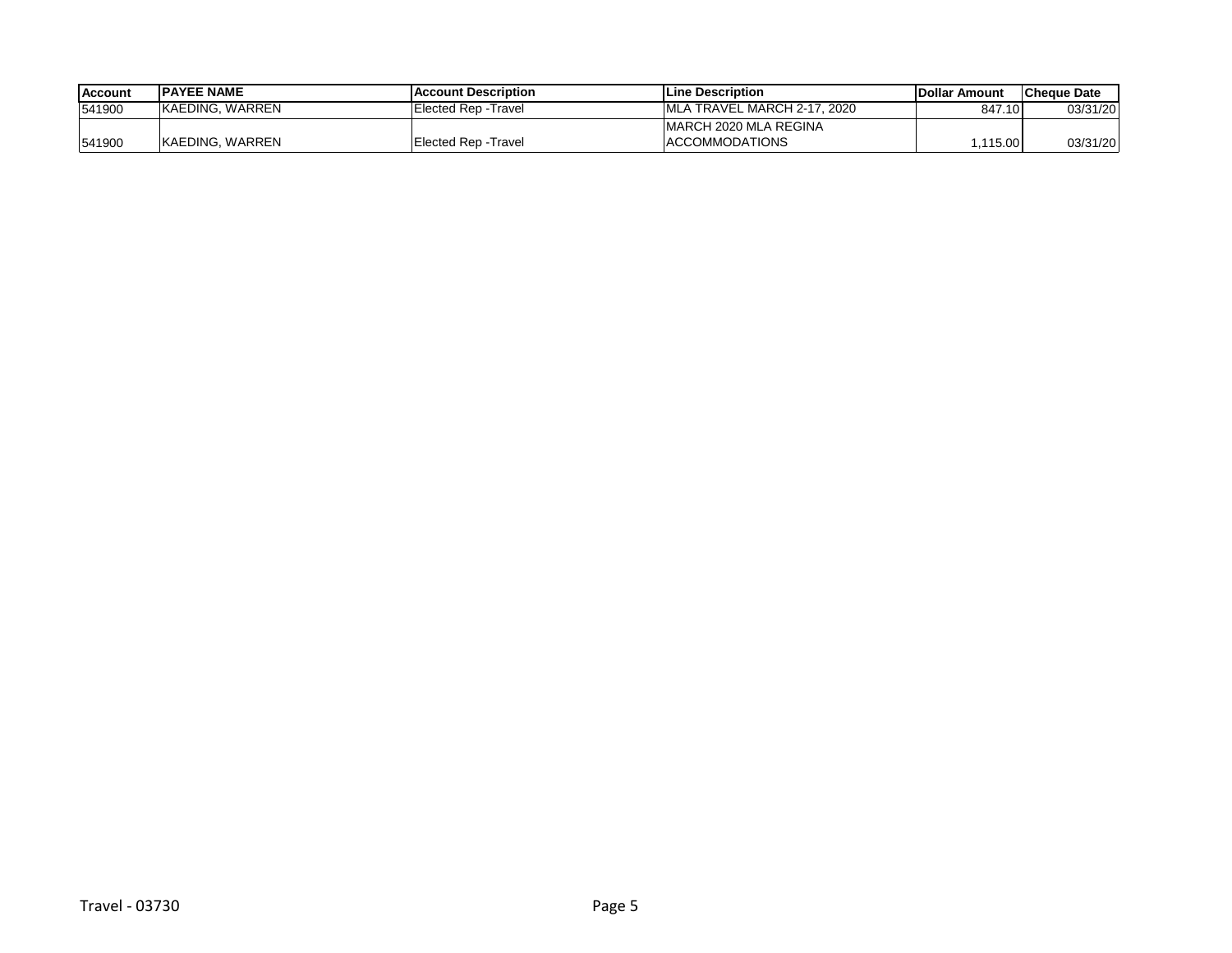| <b>IAccount</b> | <b>IPAYEE NAME</b> | <b>IAccount Description</b> | <b>ILine Description</b>     | <b>IDollar Amount</b> | <b>ICheque Date</b> |
|-----------------|--------------------|-----------------------------|------------------------------|-----------------------|---------------------|
| 541900          | IKAEDING. WARREN   | Elected Rep - Travel        | IMLA TRAVEL MARCH 2-17, 2020 | 847.10                | 03/31/20            |
|                 |                    |                             | IMARCH 2020 MLA REGINA       |                       |                     |
| 541900          | IKAEDING. WARREN   | Elected Rep - Travel        | <b>ACCOMMODATIONS</b>        | .115.00               | 03/31/20            |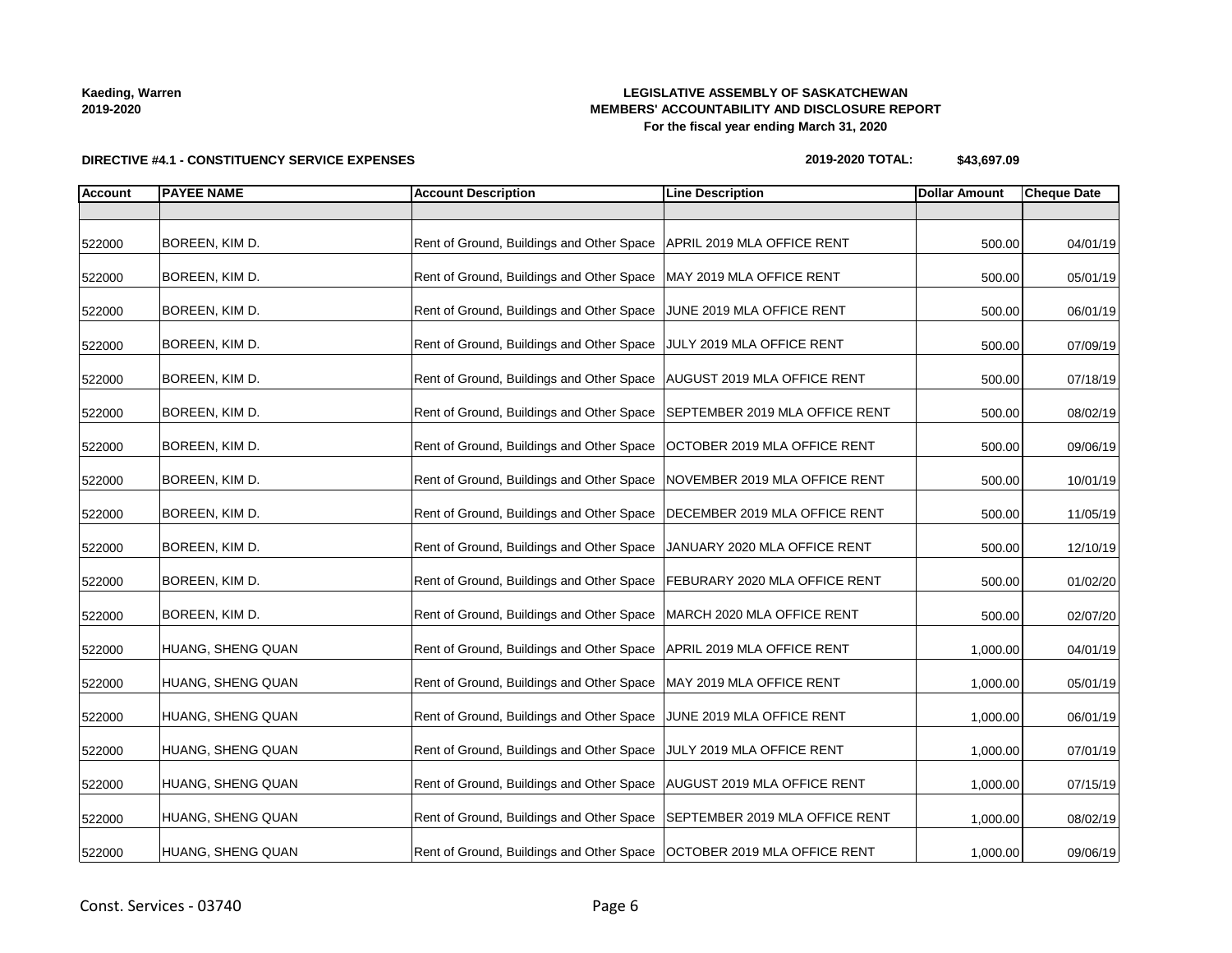# **LEGISLATIVE ASSEMBLY OF SASKATCHEWAN MEMBERS' ACCOUNTABILITY AND DISCLOSURE REPORT For the fiscal year ending March 31, 2020**

**DIRECTIVE #4.1 - CONSTITUENCY SERVICE EXPENSES**

### **2019-2020 TOTAL: \$43,697.09**

| <b>Account</b> | <b>PAYEE NAME</b> | <b>Account Description</b>                                                | <b>Line Description</b>       | <b>Dollar Amount</b> | <b>Cheque Date</b> |
|----------------|-------------------|---------------------------------------------------------------------------|-------------------------------|----------------------|--------------------|
|                |                   |                                                                           |                               |                      |                    |
| 522000         | BOREEN, KIM D.    | Rent of Ground, Buildings and Other Space   APRIL 2019 MLA OFFICE RENT    |                               | 500.00               | 04/01/19           |
| 522000         | BOREEN, KIM D.    | Rent of Ground, Buildings and Other Space   MAY 2019 MLA OFFICE RENT      |                               | 500.00               | 05/01/19           |
| 522000         | BOREEN, KIM D.    | Rent of Ground, Buildings and Other Space JUNE 2019 MLA OFFICE RENT       |                               | 500.00               | 06/01/19           |
| 522000         | BOREEN, KIM D.    | Rent of Ground, Buildings and Other Space JULY 2019 MLA OFFICE RENT       |                               | 500.00               | 07/09/19           |
| 522000         | BOREEN, KIM D.    | Rent of Ground, Buildings and Other Space   AUGUST 2019 MLA OFFICE RENT   |                               | 500.00               | 07/18/19           |
| 522000         | BOREEN, KIM D.    | Rent of Ground, Buildings and Other Space SEPTEMBER 2019 MLA OFFICE RENT  |                               | 500.00               | 08/02/19           |
| 522000         | BOREEN, KIM D.    | Rent of Ground, Buildings and Other Space   OCTOBER 2019 MLA OFFICE RENT  |                               | 500.00               | 09/06/19           |
| 522000         | BOREEN, KIM D.    | Rent of Ground, Buildings and Other Space                                 | NOVEMBER 2019 MLA OFFICE RENT | 500.00               | 10/01/19           |
| 522000         | BOREEN, KIM D.    | Rent of Ground, Buildings and Other Space                                 | DECEMBER 2019 MLA OFFICE RENT | 500.00               | 11/05/19           |
| 522000         | BOREEN, KIM D.    | Rent of Ground, Buildings and Other Space                                 | JANUARY 2020 MLA OFFICE RENT  | 500.00               | 12/10/19           |
| 522000         | BOREEN, KIM D.    | Rent of Ground, Buildings and Other Space   FEBURARY 2020 MLA OFFICE RENT |                               | 500.00               | 01/02/20           |
| 522000         | BOREEN, KIM D.    | Rent of Ground, Buildings and Other Space                                 | MARCH 2020 MLA OFFICE RENT    | 500.00               | 02/07/20           |
| 522000         | HUANG, SHENG QUAN | Rent of Ground, Buildings and Other Space   APRIL 2019 MLA OFFICE RENT    |                               | 1,000.00             | 04/01/19           |
| 522000         | HUANG, SHENG QUAN | Rent of Ground, Buildings and Other Space   MAY 2019 MLA OFFICE RENT      |                               | 1,000.00             | 05/01/19           |
| 522000         | HUANG, SHENG QUAN | Rent of Ground, Buildings and Other Space JUNE 2019 MLA OFFICE RENT       |                               | 1,000.00             | 06/01/19           |
| 522000         | HUANG, SHENG QUAN | Rent of Ground, Buildings and Other Space                                 | JULY 2019 MLA OFFICE RENT     | 1,000.00             | 07/01/19           |
| 522000         | HUANG, SHENG QUAN | Rent of Ground, Buildings and Other Space   AUGUST 2019 MLA OFFICE RENT   |                               | 1,000.00             | 07/15/19           |
| 522000         | HUANG, SHENG QUAN | Rent of Ground, Buildings and Other Space SEPTEMBER 2019 MLA OFFICE RENT  |                               | 1,000.00             | 08/02/19           |
| 522000         | HUANG, SHENG QUAN | Rent of Ground, Buildings and Other Space   OCTOBER 2019 MLA OFFICE RENT  |                               | 1,000.00             | 09/06/19           |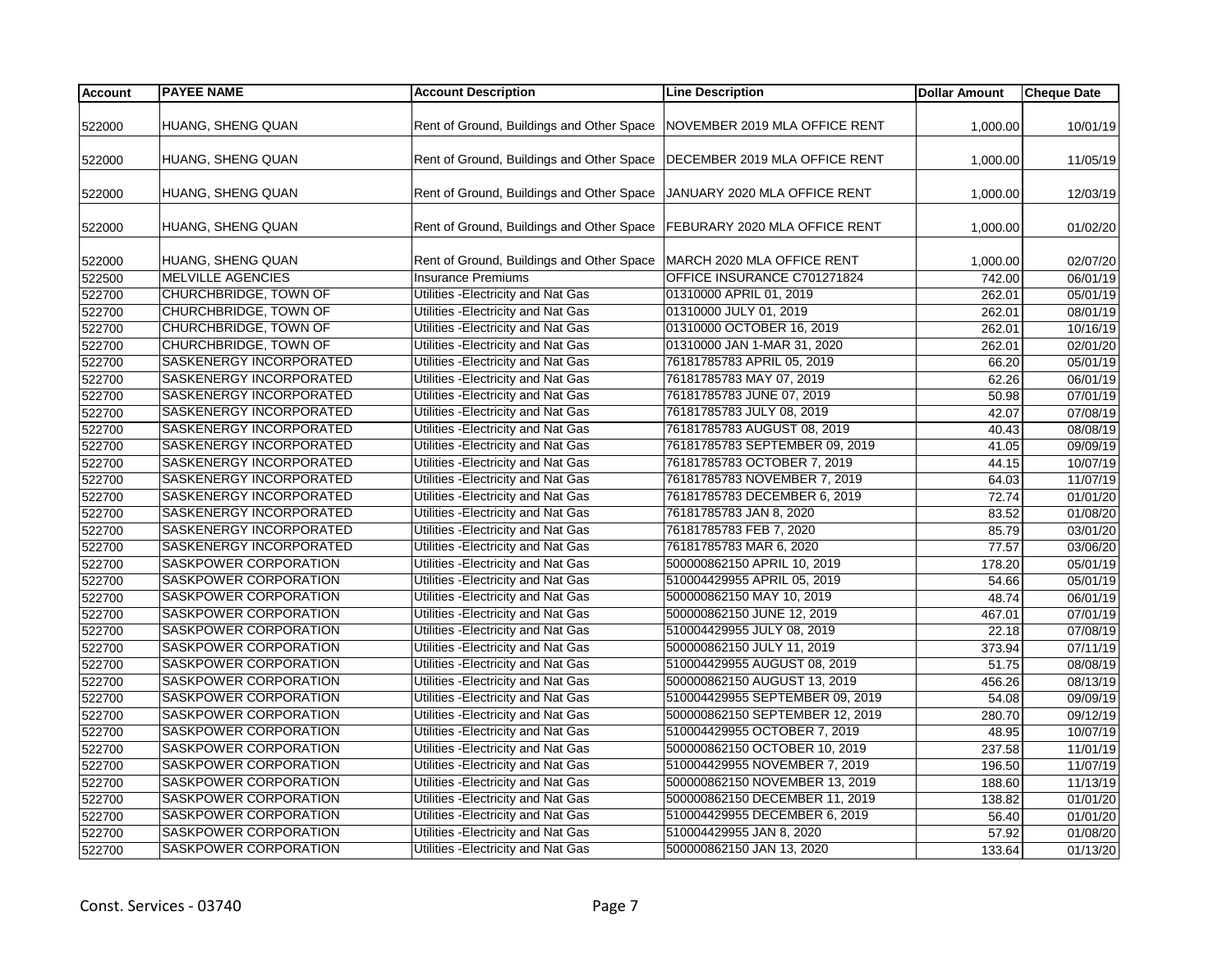| <b>Account</b> | <b>PAYEE NAME</b>                             | <b>Account Description</b>                                                | <b>Line Description</b>                                   | <b>Dollar Amount</b> | <b>Cheque Date</b>    |
|----------------|-----------------------------------------------|---------------------------------------------------------------------------|-----------------------------------------------------------|----------------------|-----------------------|
|                |                                               |                                                                           |                                                           |                      |                       |
| 522000         | HUANG, SHENG QUAN                             | Rent of Ground, Buildings and Other Space                                 | NOVEMBER 2019 MLA OFFICE RENT                             | 1,000.00             | 10/01/19              |
| 522000         | HUANG, SHENG QUAN                             | Rent of Ground, Buildings and Other Space                                 | DECEMBER 2019 MLA OFFICE RENT                             |                      | 11/05/19              |
|                |                                               |                                                                           |                                                           | 1,000.00             |                       |
| 522000         | HUANG, SHENG QUAN                             | Rent of Ground, Buildings and Other Space                                 | JANUARY 2020 MLA OFFICE RENT                              | 1,000.00             | 12/03/19              |
|                |                                               |                                                                           |                                                           |                      |                       |
| 522000         | HUANG, SHENG QUAN                             | Rent of Ground, Buildings and Other Space   FEBURARY 2020 MLA OFFICE RENT |                                                           | 1,000.00             | 01/02/20              |
|                |                                               |                                                                           |                                                           |                      |                       |
| 522000         | HUANG, SHENG QUAN<br><b>MELVILLE AGENCIES</b> | Rent of Ground, Buildings and Other Space<br><b>Insurance Premiums</b>    | MARCH 2020 MLA OFFICE RENT<br>OFFICE INSURANCE C701271824 | 1,000.00             | 02/07/20              |
| 522500         |                                               |                                                                           |                                                           | 742.00               | 06/01/19              |
| 522700         | CHURCHBRIDGE, TOWN OF                         | Utilities - Electricity and Nat Gas                                       | 01310000 APRIL 01, 2019                                   | 262.01               | 05/01/19              |
| 522700         | CHURCHBRIDGE, TOWN OF                         | Utilities - Electricity and Nat Gas                                       | 01310000 JULY 01, 2019                                    | 262.01               | 08/01/19              |
| 522700         | <b>CHURCHBRIDGE, TOWN OF</b>                  | Utilities - Electricity and Nat Gas                                       | 01310000 OCTOBER 16, 2019                                 | 262.01               | 10/16/19              |
| 522700         | CHURCHBRIDGE, TOWN OF                         | Utilities - Electricity and Nat Gas                                       | 01310000 JAN 1-MAR 31, 2020                               | 262.01               | 02/01/20              |
| 522700         | SASKENERGY INCORPORATED                       | Utilities - Electricity and Nat Gas                                       | 76181785783 APRIL 05, 2019                                | 66.20                | 05/01/19              |
| 522700         | SASKENERGY INCORPORATED                       | Utilities - Electricity and Nat Gas                                       | 76181785783 MAY 07, 2019                                  | 62.26                | 06/01/19              |
| 522700         | SASKENERGY INCORPORATED                       | Utilities - Electricity and Nat Gas                                       | 76181785783 JUNE 07, 2019                                 | 50.98                | $\overline{07/01/19}$ |
| 522700         | SASKENERGY INCORPORATED                       | Utilities - Electricity and Nat Gas                                       | 76181785783 JULY 08, 2019                                 | 42.07                | $\overline{07/08/19}$ |
| 522700         | SASKENERGY INCORPORATED                       | Utilities - Electricity and Nat Gas                                       | 76181785783 AUGUST 08, 2019                               | 40.43                | 08/08/19              |
| 522700         | SASKENERGY INCORPORATED                       | Utilities - Electricity and Nat Gas                                       | 76181785783 SEPTEMBER 09, 2019                            | 41.05                | 09/09/19              |
| 522700         | SASKENERGY INCORPORATED                       | Utilities - Electricity and Nat Gas                                       | 76181785783 OCTOBER 7, 2019                               | 44.15                | 10/07/19              |
| 522700         | SASKENERGY INCORPORATED                       | Utilities - Electricity and Nat Gas                                       | 76181785783 NOVEMBER 7, 2019                              | 64.03                | 11/07/19              |
| 522700         | SASKENERGY INCORPORATED                       | Utilities - Electricity and Nat Gas                                       | 76181785783 DECEMBER 6, 2019                              | 72.74                | 01/01/20              |
| 522700         | SASKENERGY INCORPORATED                       | Utilities - Electricity and Nat Gas                                       | 76181785783 JAN 8, 2020                                   | 83.52                | 01/08/20              |
| 522700         | SASKENERGY INCORPORATED                       | Utilities - Electricity and Nat Gas                                       | 76181785783 FEB 7, 2020                                   | 85.79                | 03/01/20              |
| 522700         | SASKENERGY INCORPORATED                       | Utilities - Electricity and Nat Gas                                       | 76181785783 MAR 6, 2020                                   | 77.57                | 03/06/20              |
| 522700         | SASKPOWER CORPORATION                         | Utilities - Electricity and Nat Gas                                       | 500000862150 APRIL 10, 2019                               | 178.20               | 05/01/19              |
| 522700         | SASKPOWER CORPORATION                         | Utilities - Electricity and Nat Gas                                       | 510004429955 APRIL 05, 2019                               | 54.66                | 05/01/19              |
| 522700         | SASKPOWER CORPORATION                         | Utilities - Electricity and Nat Gas                                       | 500000862150 MAY 10, 2019                                 | 48.74                | 06/01/19              |
| 522700         | SASKPOWER CORPORATION                         | Utilities - Electricity and Nat Gas                                       | 500000862150 JUNE 12, 2019                                | 467.01               | 07/01/19              |
| 522700         | SASKPOWER CORPORATION                         | Utilities - Electricity and Nat Gas                                       | 510004429955 JULY 08, 2019                                | 22.18                | 07/08/19              |
| 522700         | SASKPOWER CORPORATION                         | Utilities - Electricity and Nat Gas                                       | 500000862150 JULY 11, 2019                                | 373.94               | 07/11/19              |
| 522700         | SASKPOWER CORPORATION                         | Utilities - Electricity and Nat Gas                                       | 510004429955 AUGUST 08, 2019                              | 51.75                | 08/08/19              |
| 522700         | SASKPOWER CORPORATION                         | Utilities - Electricity and Nat Gas                                       | 500000862150 AUGUST 13, 2019                              | 456.26               | 08/13/19              |
|                | SASKPOWER CORPORATION                         | Utilities - Electricity and Nat Gas                                       | 510004429955 SEPTEMBER 09, 2019                           |                      | 09/09/19              |
| 522700         | SASKPOWER CORPORATION                         | Utilities - Electricity and Nat Gas                                       | 500000862150 SEPTEMBER 12, 2019                           | 54.08                |                       |
| 522700         |                                               |                                                                           |                                                           | 280.70               | 09/12/19              |
| 522700         | SASKPOWER CORPORATION                         | Utilities - Electricity and Nat Gas                                       | 510004429955 OCTOBER 7, 2019                              | 48.95                | 10/07/19              |
| 522700         | SASKPOWER CORPORATION                         | Utilities - Electricity and Nat Gas                                       | 500000862150 OCTOBER 10, 2019                             | 237.58               | 11/01/19              |
| 522700         | SASKPOWER CORPORATION                         | Utilities - Electricity and Nat Gas                                       | 510004429955 NOVEMBER 7, 2019                             | 196.50               | 11/07/19              |
| 522700         | SASKPOWER CORPORATION                         | Utilities - Electricity and Nat Gas                                       | 500000862150 NOVEMBER 13, 2019                            | 188.60               | 11/13/19              |
| 522700         | SASKPOWER CORPORATION                         | Utilities - Electricity and Nat Gas                                       | 500000862150 DECEMBER 11, 2019                            | 138.82               | 01/01/20              |
| 522700         | SASKPOWER CORPORATION                         | Utilities - Electricity and Nat Gas                                       | 510004429955 DECEMBER 6, 2019                             | 56.40                | 01/01/20              |
| 522700         | SASKPOWER CORPORATION                         | Utilities - Electricity and Nat Gas                                       | 510004429955 JAN 8, 2020                                  | 57.92                | 01/08/20              |
| 522700         | SASKPOWER CORPORATION                         | Utilities - Electricity and Nat Gas                                       | 500000862150 JAN 13, 2020                                 | 133.64               | 01/13/20              |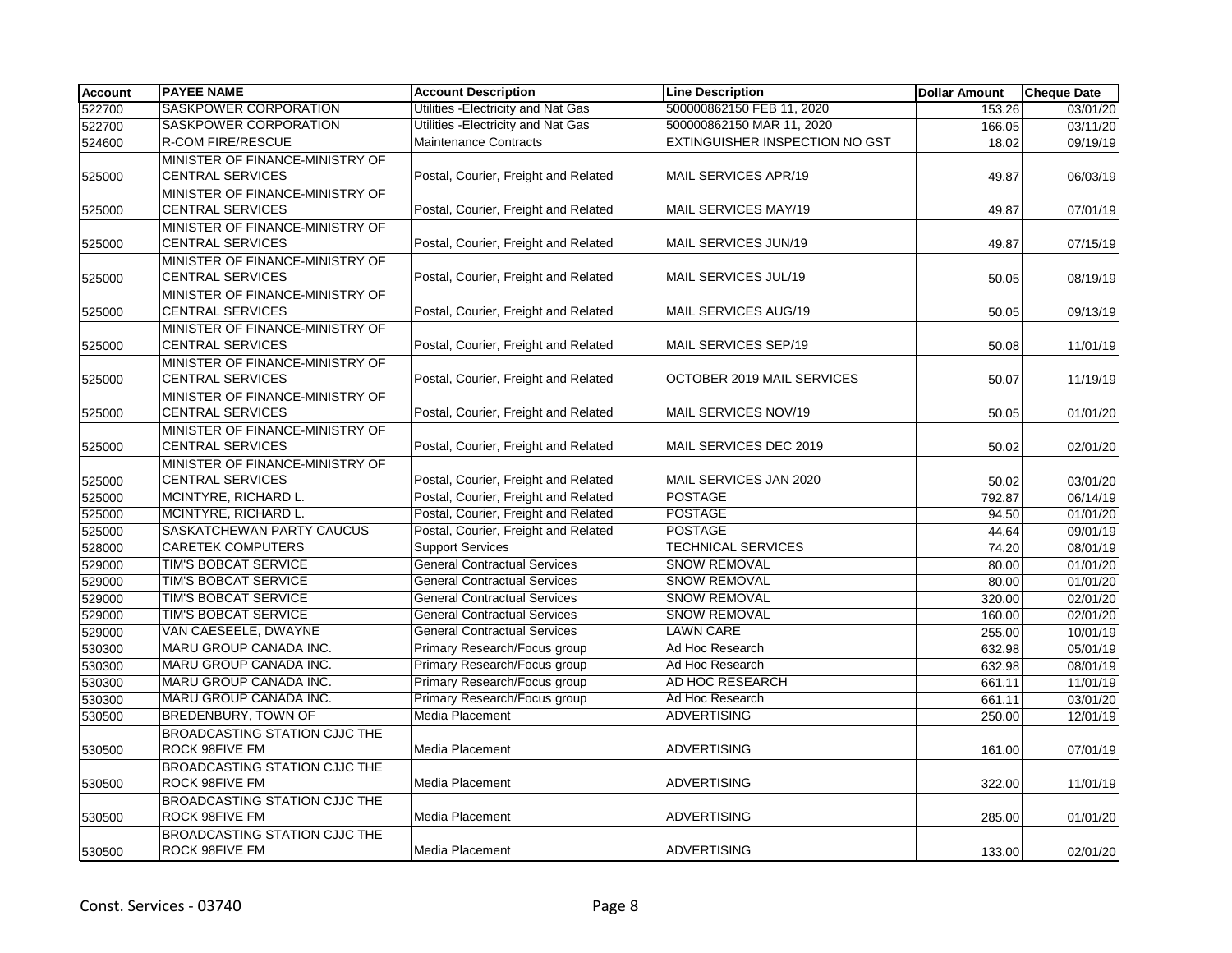| <b>Account</b> | <b>PAYEE NAME</b>                                             | <b>Account Description</b>           | <b>Line Description</b>               | <b>Dollar Amount</b> | <b>Cheque Date</b> |
|----------------|---------------------------------------------------------------|--------------------------------------|---------------------------------------|----------------------|--------------------|
| 522700         | <b>SASKPOWER CORPORATION</b>                                  | Utilities - Electricity and Nat Gas  | 500000862150 FEB 11, 2020             | 153.26               | 03/01/20           |
| 522700         | SASKPOWER CORPORATION                                         | Utilities - Electricity and Nat Gas  | 500000862150 MAR 11, 2020             | 166.05               | 03/11/20           |
| 524600         | <b>R-COM FIRE/RESCUE</b>                                      | Maintenance Contracts                | <b>EXTINGUISHER INSPECTION NO GST</b> | 18.02                | 09/19/19           |
|                | MINISTER OF FINANCE-MINISTRY OF                               |                                      |                                       |                      |                    |
| 525000         | <b>CENTRAL SERVICES</b>                                       | Postal, Courier, Freight and Related | MAIL SERVICES APR/19                  | 49.87                | 06/03/19           |
| 525000         | MINISTER OF FINANCE-MINISTRY OF<br><b>CENTRAL SERVICES</b>    | Postal, Courier, Freight and Related | <b>MAIL SERVICES MAY/19</b>           | 49.87                | 07/01/19           |
| 525000         | MINISTER OF FINANCE-MINISTRY OF<br><b>CENTRAL SERVICES</b>    | Postal, Courier, Freight and Related | MAIL SERVICES JUN/19                  | 49.87                | 07/15/19           |
| 525000         | MINISTER OF FINANCE-MINISTRY OF<br><b>CENTRAL SERVICES</b>    | Postal, Courier, Freight and Related | MAIL SERVICES JUL/19                  | 50.05                | 08/19/19           |
| 525000         | MINISTER OF FINANCE-MINISTRY OF<br><b>CENTRAL SERVICES</b>    | Postal, Courier, Freight and Related | MAIL SERVICES AUG/19                  | 50.05                | 09/13/19           |
| 525000         | MINISTER OF FINANCE-MINISTRY OF<br><b>CENTRAL SERVICES</b>    | Postal, Courier, Freight and Related | MAIL SERVICES SEP/19                  | 50.08                | 11/01/19           |
| 525000         | MINISTER OF FINANCE-MINISTRY OF<br><b>CENTRAL SERVICES</b>    | Postal, Courier, Freight and Related | OCTOBER 2019 MAIL SERVICES            | 50.07                | 11/19/19           |
| 525000         | MINISTER OF FINANCE-MINISTRY OF<br><b>CENTRAL SERVICES</b>    | Postal, Courier, Freight and Related | MAIL SERVICES NOV/19                  | 50.05                | 01/01/20           |
|                | MINISTER OF FINANCE-MINISTRY OF                               |                                      |                                       |                      |                    |
| 525000         | <b>CENTRAL SERVICES</b>                                       | Postal, Courier, Freight and Related | MAIL SERVICES DEC 2019                | 50.02                | 02/01/20           |
|                | MINISTER OF FINANCE-MINISTRY OF                               |                                      |                                       |                      |                    |
| 525000         | <b>CENTRAL SERVICES</b>                                       | Postal, Courier, Freight and Related | MAIL SERVICES JAN 2020                | 50.02                | 03/01/20           |
| 525000         | MCINTYRE, RICHARD L.                                          | Postal, Courier, Freight and Related | <b>POSTAGE</b>                        | 792.87               | 06/14/19           |
| 525000         | MCINTYRE, RICHARD L.                                          | Postal, Courier, Freight and Related | <b>POSTAGE</b>                        | 94.50                | 01/01/20           |
| 525000         | <b>SASKATCHEWAN PARTY CAUCUS</b>                              | Postal, Courier, Freight and Related | <b>POSTAGE</b>                        | 44.64                | 09/01/19           |
| 528000         | <b>CARETEK COMPUTERS</b>                                      | <b>Support Services</b>              | <b>TECHNICAL SERVICES</b>             | 74.20                | 08/01/19           |
| 529000         | TIM'S BOBCAT SERVICE                                          | <b>General Contractual Services</b>  | <b>SNOW REMOVAL</b>                   | 80.00                | 01/01/20           |
| 529000         | TIM'S BOBCAT SERVICE                                          | <b>General Contractual Services</b>  | <b>SNOW REMOVAL</b>                   | 80.00                | 01/01/20           |
| 529000         | TIM'S BOBCAT SERVICE                                          | <b>General Contractual Services</b>  | <b>SNOW REMOVAL</b>                   | 320.00               | 02/01/20           |
| 529000         | TIM'S BOBCAT SERVICE                                          | <b>General Contractual Services</b>  | <b>SNOW REMOVAL</b>                   | 160.00               | 02/01/20           |
| 529000         | VAN CAESEELE, DWAYNE                                          | <b>General Contractual Services</b>  | <b>LAWN CARE</b>                      | 255.00               | 10/01/19           |
| 530300         | MARU GROUP CANADA INC.                                        | Primary Research/Focus group         | Ad Hoc Research                       | 632.98               | 05/01/19           |
| 530300         | MARU GROUP CANADA INC.                                        | Primary Research/Focus group         | Ad Hoc Research                       | 632.98               | 08/01/19           |
| 530300         | MARU GROUP CANADA INC.                                        | Primary Research/Focus group         | AD HOC RESEARCH                       | 661.11               | 11/01/19           |
| 530300         | MARU GROUP CANADA INC.                                        | Primary Research/Focus group         | Ad Hoc Research                       | 661.11               | 03/01/20           |
| 530500         | <b>BREDENBURY, TOWN OF</b>                                    | Media Placement                      | <b>ADVERTISING</b>                    | 250.00               | 12/01/19           |
| 530500         | <b>BROADCASTING STATION CJJC THE</b><br><b>ROCK 98FIVE FM</b> | Media Placement                      | <b>ADVERTISING</b>                    | 161.00               | 07/01/19           |
| 530500         | <b>BROADCASTING STATION CJJC THE</b><br><b>ROCK 98FIVE FM</b> | <b>Media Placement</b>               | <b>ADVERTISING</b>                    | 322.00               | 11/01/19           |
| 530500         | <b>BROADCASTING STATION CJJC THE</b><br>ROCK 98FIVE FM        | Media Placement                      | <b>ADVERTISING</b>                    | 285.00               | 01/01/20           |
| 530500         | <b>BROADCASTING STATION CJJC THE</b><br><b>ROCK 98FIVE FM</b> | <b>Media Placement</b>               | ADVERTISING                           | 133.00               | 02/01/20           |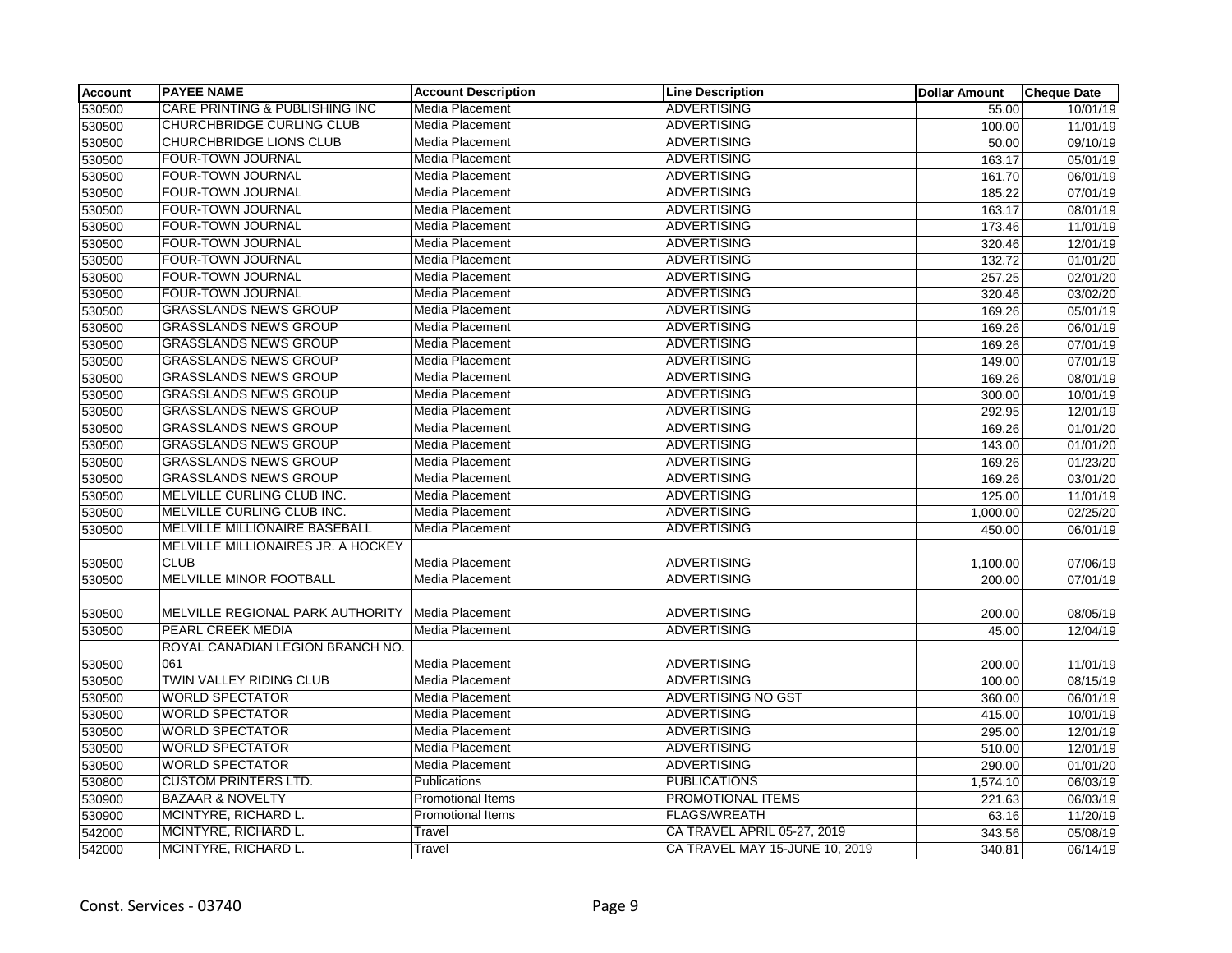| <b>Account</b> | <b>PAYEE NAME</b>                         | <b>Account Description</b> | <b>Line Description</b>        | <b>Dollar Amount</b> | <b>Cheque Date</b>    |
|----------------|-------------------------------------------|----------------------------|--------------------------------|----------------------|-----------------------|
| 530500         | <b>CARE PRINTING &amp; PUBLISHING INC</b> | Media Placement            | <b>ADVERTISING</b>             | 55.00                | 10/01/19              |
| 530500         | CHURCHBRIDGE CURLING CLUB                 | Media Placement            | <b>ADVERTISING</b>             | 100.00               | 11/01/19              |
| 530500         | CHURCHBRIDGE LIONS CLUB                   | Media Placement            | <b>ADVERTISING</b>             | 50.00                | 09/10/19              |
| 530500         | <b>FOUR-TOWN JOURNAL</b>                  | Media Placement            | <b>ADVERTISING</b>             | 163.17               | 05/01/19              |
| 530500         | FOUR-TOWN JOURNAL                         | Media Placement            | <b>ADVERTISING</b>             | 161.70               | 06/01/19              |
| 530500         | FOUR-TOWN JOURNAL                         | Media Placement            | <b>ADVERTISING</b>             | 185.22               | 07/01/19              |
| 530500         | FOUR-TOWN JOURNAL                         | Media Placement            | <b>ADVERTISING</b>             | 163.17               | 08/01/19              |
| 530500         | <b>FOUR-TOWN JOURNAL</b>                  | Media Placement            | <b>ADVERTISING</b>             | 173.46               | 11/01/19              |
| 530500         | FOUR-TOWN JOURNAL                         | Media Placement            | <b>ADVERTISING</b>             | 320.46               | 12/01/19              |
| 530500         | FOUR-TOWN JOURNAL                         | Media Placement            | <b>ADVERTISING</b>             | 132.72               | 01/01/20              |
| 530500         | FOUR-TOWN JOURNAL                         | Media Placement            | <b>ADVERTISING</b>             | 257.25               | 02/01/20              |
| 530500         | FOUR-TOWN JOURNAL                         | Media Placement            | <b>ADVERTISING</b>             | 320.46               | 03/02/20              |
| 530500         | <b>GRASSLANDS NEWS GROUP</b>              | Media Placement            | <b>ADVERTISING</b>             | 169.26               | 05/01/19              |
| 530500         | <b>GRASSLANDS NEWS GROUP</b>              | Media Placement            | <b>ADVERTISING</b>             | 169.26               | 06/01/19              |
| 530500         | <b>GRASSLANDS NEWS GROUP</b>              | Media Placement            | <b>ADVERTISING</b>             | 169.26               | 07/01/19              |
| 530500         | <b>GRASSLANDS NEWS GROUP</b>              | Media Placement            | <b>ADVERTISING</b>             | 149.00               | 07/01/19              |
| 530500         | <b>GRASSLANDS NEWS GROUP</b>              | Media Placement            | <b>ADVERTISING</b>             | 169.26               | 08/01/19              |
| 530500         | <b>GRASSLANDS NEWS GROUP</b>              | Media Placement            | <b>ADVERTISING</b>             | 300.00               | 10/01/19              |
| 530500         | <b>GRASSLANDS NEWS GROUP</b>              | Media Placement            | <b>ADVERTISING</b>             | 292.95               | 12/01/19              |
| 530500         | <b>GRASSLANDS NEWS GROUP</b>              | Media Placement            | <b>ADVERTISING</b>             | 169.26               | 01/01/20              |
| 530500         | <b>GRASSLANDS NEWS GROUP</b>              | Media Placement            | <b>ADVERTISING</b>             | 143.00               | 01/01/20              |
| 530500         | <b>GRASSLANDS NEWS GROUP</b>              | Media Placement            | <b>ADVERTISING</b>             | 169.26               | 01/23/20              |
| 530500         | <b>GRASSLANDS NEWS GROUP</b>              | Media Placement            | <b>ADVERTISING</b>             | 169.26               | 03/01/20              |
| 530500         | MELVILLE CURLING CLUB INC.                | Media Placement            | <b>ADVERTISING</b>             | 125.00               | 11/01/19              |
| 530500         | MELVILLE CURLING CLUB INC.                | Media Placement            | <b>ADVERTISING</b>             | 1,000.00             | $\overline{02/25/20}$ |
| 530500         | MELVILLE MILLIONAIRE BASEBALL             | Media Placement            | <b>ADVERTISING</b>             | 450.00               | 06/01/19              |
|                | MELVILLE MILLIONAIRES JR. A HOCKEY        |                            |                                |                      |                       |
| 530500         | <b>CLUB</b>                               | Media Placement            | <b>ADVERTISING</b>             | 1,100.00             | 07/06/19              |
| 530500         | MELVILLE MINOR FOOTBALL                   | Media Placement            | <b>ADVERTISING</b>             | 200.00               | 07/01/19              |
|                |                                           |                            |                                |                      |                       |
| 530500         | MELVILLE REGIONAL PARK AUTHORITY          | Media Placement            | <b>ADVERTISING</b>             | 200.00               | 08/05/19              |
| 530500         | PEARL CREEK MEDIA                         | <b>Media Placement</b>     | <b>ADVERTISING</b>             | 45.00                | 12/04/19              |
|                | ROYAL CANADIAN LEGION BRANCH NO.          |                            |                                |                      |                       |
| 530500         | 061                                       | Media Placement            | <b>ADVERTISING</b>             | 200.00               | 11/01/19              |
| 530500         | TWIN VALLEY RIDING CLUB                   | Media Placement            | <b>ADVERTISING</b>             | 100.00               | 08/15/19              |
| 530500         | <b>WORLD SPECTATOR</b>                    | Media Placement            | <b>ADVERTISING NO GST</b>      | 360.00               | 06/01/19              |
| 530500         | <b>WORLD SPECTATOR</b>                    | Media Placement            | <b>ADVERTISING</b>             | 415.00               | 10/01/19              |
| 530500         | <b>WORLD SPECTATOR</b>                    | Media Placement            | <b>ADVERTISING</b>             | 295.00               | 12/01/19              |
| 530500         | <b>WORLD SPECTATOR</b>                    | Media Placement            | <b>ADVERTISING</b>             | 510.00               | 12/01/19              |
| 530500         | <b>WORLD SPECTATOR</b>                    | <b>Media Placement</b>     | <b>ADVERTISING</b>             | 290.00               | 01/01/20              |
| 530800         | <b>CUSTOM PRINTERS LTD.</b>               | Publications               | <b>PUBLICATIONS</b>            | 1,574.10             | 06/03/19              |
| 530900         | <b>BAZAAR &amp; NOVELTY</b>               | <b>Promotional Items</b>   | PROMOTIONAL ITEMS              | 221.63               | 06/03/19              |
| 530900         | MCINTYRE, RICHARD L.                      | <b>Promotional Items</b>   | <b>FLAGS/WREATH</b>            | 63.16                | 11/20/19              |
| 542000         | MCINTYRE, RICHARD L.                      | Travel                     | CA TRAVEL APRIL 05-27, 2019    | 343.56               | 05/08/19              |
| 542000         | MCINTYRE, RICHARD L.                      | Travel                     | CA TRAVEL MAY 15-JUNE 10, 2019 | 340.81               | 06/14/19              |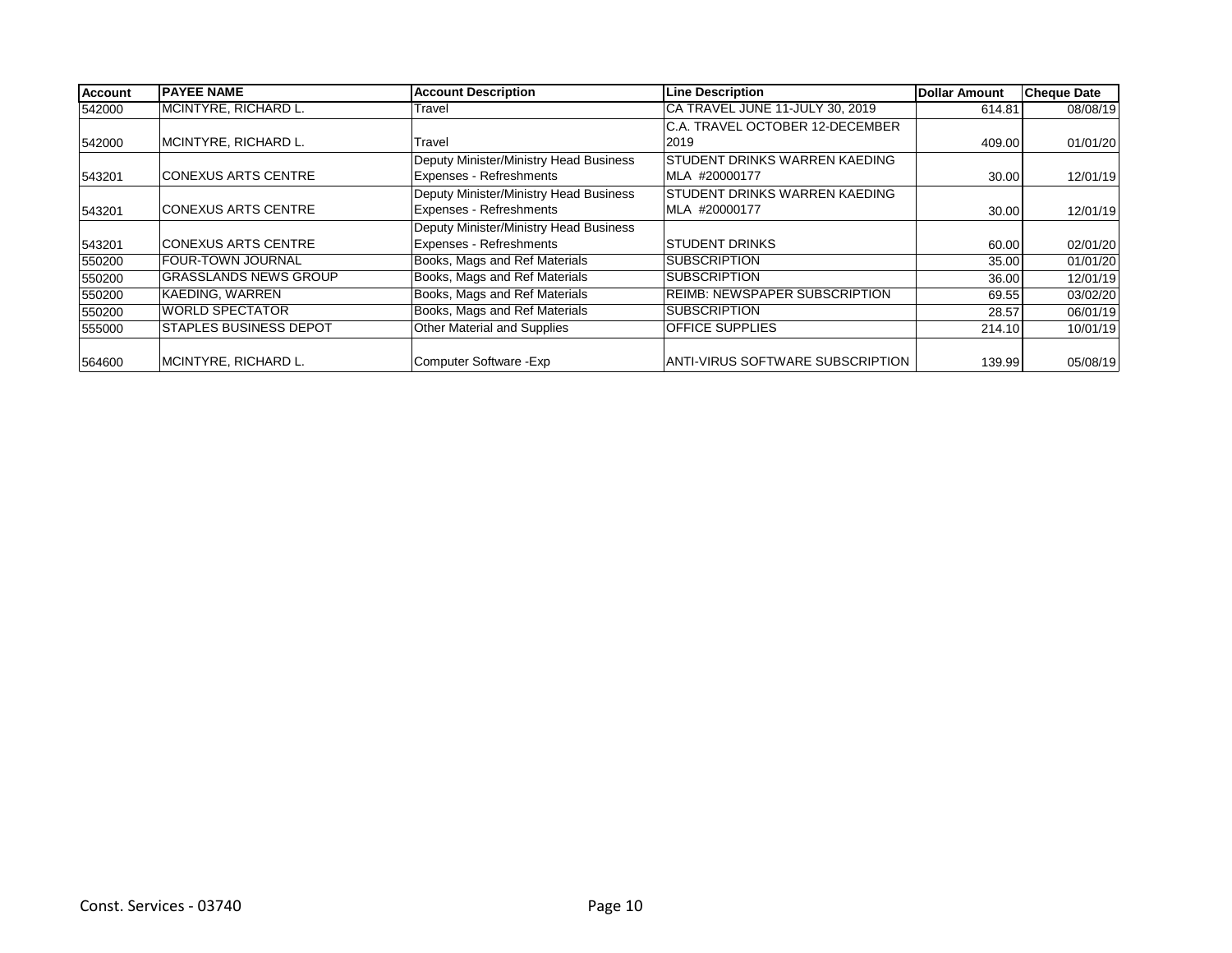| <b>Account</b> | <b>IPAYEE NAME</b>             | <b>Account Description</b>             | <b>Line Description</b>                 | Dollar Amount | <b>Cheque Date</b> |
|----------------|--------------------------------|----------------------------------------|-----------------------------------------|---------------|--------------------|
| 542000         | MCINTYRE, RICHARD L.           | Travel                                 | CA TRAVEL JUNE 11-JULY 30, 2019         | 614.81        | 08/08/19           |
|                |                                |                                        | C.A. TRAVEL OCTOBER 12-DECEMBER         |               |                    |
| 542000         | MCINTYRE, RICHARD L.           | Travel                                 | 2019                                    | 409.00        | 01/01/20           |
|                |                                | Deputy Minister/Ministry Head Business | <b>STUDENT DRINKS WARREN KAEDING</b>    |               |                    |
| 543201         | <b>CONEXUS ARTS CENTRE</b>     | Expenses - Refreshments                | MLA #20000177                           | 30.00         | 12/01/19           |
|                |                                | Deputy Minister/Ministry Head Business | <b>STUDENT DRINKS WARREN KAEDING</b>    |               |                    |
| 543201         | <b>CONEXUS ARTS CENTRE</b>     | Expenses - Refreshments                | MLA #20000177                           | 30.00         | 12/01/19           |
|                |                                | Deputy Minister/Ministry Head Business |                                         |               |                    |
| 543201         | <b>CONEXUS ARTS CENTRE</b>     | Expenses - Refreshments                | <b>STUDENT DRINKS</b>                   | 60.00         | 02/01/20           |
| 550200         | <b>FOUR-TOWN JOURNAL</b>       | Books, Mags and Ref Materials          | <b>SUBSCRIPTION</b>                     | 35.00         | 01/01/20           |
| 550200         | <b>GRASSLANDS NEWS GROUP</b>   | Books, Mags and Ref Materials          | <b>SUBSCRIPTION</b>                     | 36.00         | 12/01/19           |
| 550200         | KAEDING, WARREN                | Books, Mags and Ref Materials          | <b>REIMB: NEWSPAPER SUBSCRIPTION</b>    | 69.55         | 03/02/20           |
| 550200         | <b>WORLD SPECTATOR</b>         | Books, Mags and Ref Materials          | <b>SUBSCRIPTION</b>                     | 28.57         | 06/01/19           |
| 555000         | <b>ISTAPLES BUSINESS DEPOT</b> | Other Material and Supplies            | <b>OFFICE SUPPLIES</b>                  | 214.10        | 10/01/19           |
|                |                                |                                        |                                         |               |                    |
| 564600         | MCINTYRE, RICHARD L.           | Computer Software - Exp                | <b>ANTI-VIRUS SOFTWARE SUBSCRIPTION</b> | 139.99        | 05/08/19           |